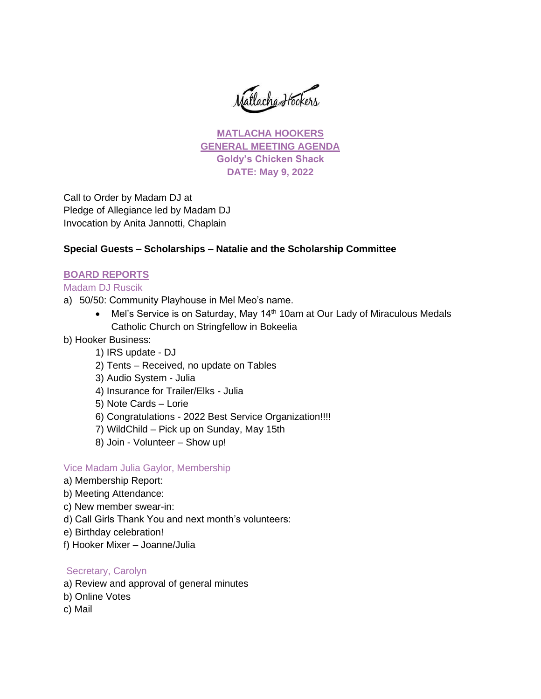Matlacha Hookers

**MATLACHA HOOKERS GENERAL MEETING AGENDA Goldy's Chicken Shack DATE: May 9, 2022**

Call to Order by Madam DJ at Pledge of Allegiance led by Madam DJ Invocation by Anita Jannotti, Chaplain

#### **Special Guests – Scholarships – Natalie and the Scholarship Committee**

#### **BOARD REPORTS**

Madam DJ Ruscik

- a) 50/50: Community Playhouse in Mel Meo's name.
	- Mel's Service is on Saturday, May 14<sup>th</sup> 10am at Our Lady of Miraculous Medals Catholic Church on Stringfellow in Bokeelia
- b) Hooker Business:
	- 1) IRS update DJ
	- 2) Tents Received, no update on Tables
	- 3) Audio System Julia
	- 4) Insurance for Trailer/Elks Julia
	- 5) Note Cards Lorie
	- 6) Congratulations 2022 Best Service Organization!!!!
	- 7) WildChild Pick up on Sunday, May 15th
	- 8) Join Volunteer Show up!

#### Vice Madam Julia Gaylor, Membership

- a) Membership Report:
- b) Meeting Attendance:
- c) New member swear-in:
- d) Call Girls Thank You and next month's volunteers:
- e) Birthday celebration!
- f) Hooker Mixer Joanne/Julia

## Secretary, Carolyn

- a) Review and approval of general minutes
- b) Online Votes
- c) Mail